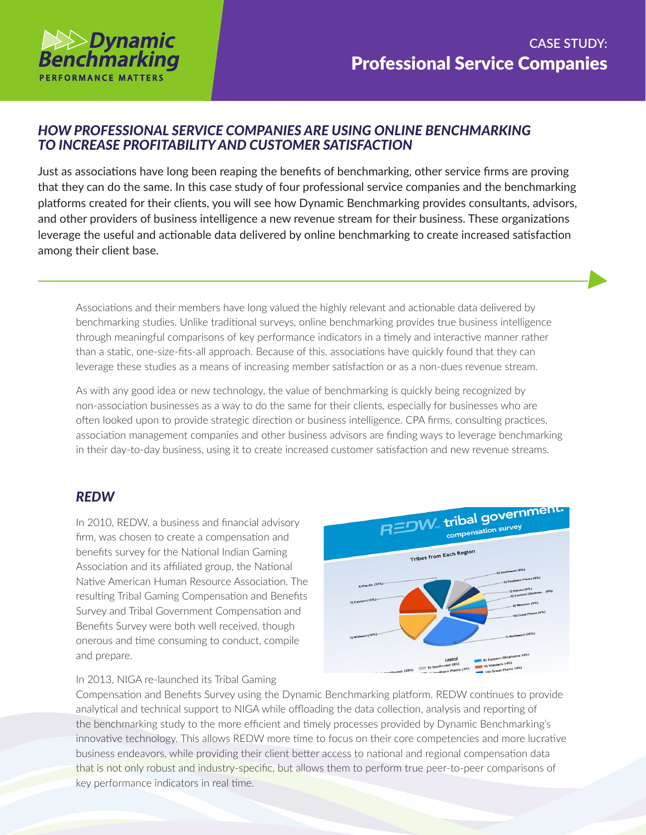

## *HOW PROFESSIONAL SERVICE COMPANIES ARE USING ONLINE BENCHMARKING TO INCREASE PROFITABILITY AND CUSTOMER SATISFACTION*

Just as associations have long been reaping the benefits of benchmarking, other service firms are proving that they can do the same. In this case study of four professional service companies and the benchmarking platforms created for their clients, you will see how Dynamic Benchmarking provides consultants, advisors, and other providers of business intelligence a new revenue stream for their business. These organizations leverage the useful and actionable data delivered by online benchmarking to create increased satisfaction among their client base.

Associations and their members have long valued the highly relevant and actionable data delivered by benchmarking studies. Unlike traditional surveys, online benchmarking provides true business intelligence through meaningful comparisons of key performance indicators in a timely and interactive manner rather than a static, one-size-fits-all approach. Because of this, associations have quickly found that they can leverage these studies as a means of increasing member satisfaction or as a non-dues revenue stream.

As with any good idea or new technology, the value of benchmarking is quickly being recognized by non-association businesses as a way to do the same for their clients, especially for businesses who are often looked upon to provide strategic direction or business intelligence. CPA firms, consulting practices, association management companies and other business advisors are finding ways to leverage benchmarking in their day-to-day business, using it to create increased customer satisfaction and new revenue streams.

#### *REDW*

In 2010, REDW, a business and financial advisory firm, was chosen to create a compensation and benefits survey for the National Indian Gaming Association and its affiliated group, the National Native American Human Resource Association. The resulting Tribal Gaming Compensation and Benefits Survey and Tribal Government Compensation and Benefits Survey were both well received, though onerous and time consuming to conduct, compile and prepare.



#### In 2013, NIGA re-launched its Tribal Gaming

Compensation and Benefits Survey using the Dynamic Benchmarking platform. REDW continues to provide analytical and technical support to NIGA while offloading the data collection, analysis and reporting of the benchmarking study to the more efficient and timely processes provided by Dynamic Benchmarking's innovative technology. This allows REDW more time to focus on their core competencies and more lucrative business endeavors, while providing their client better access to national and regional compensation data that is not only robust and industry-specific, but allows them to perform true peer-to-peer comparisons of key performance indicators in real time.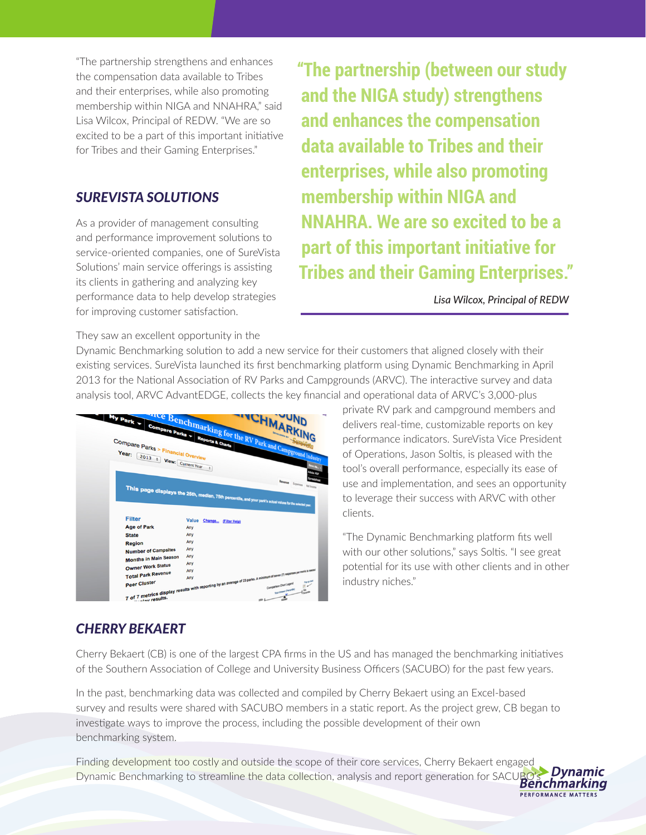"The partnership strengthens and enhances the compensation data available to Tribes and their enterprises, while also promoting membership within NIGA and NNAHRA," said Lisa Wilcox, Principal of REDW. "We are so excited to be a part of this important initiative for Tribes and their Gaming Enterprises."

#### *SUREVISTA SOLUTIONS*

As a provider of management consulting and performance improvement solutions to service-oriented companies, one of SureVista Solutions' main service offerings is assisting its clients in gathering and analyzing key performance data to help develop strategies for improving customer satisfaction.

**"The partnership (between our study and the NIGA study) strengthens and enhances the compensation data available to Tribes and their enterprises, while also promoting membership within NIGA and NNAHRA. We are so excited to be a part of this important initiative for Tribes and their Gaming Enterprises."**

*Lisa Wilcox, Principal of REDW*

They saw an excellent opportunity in the

Dynamic Benchmarking solution to add a new service for their customers that aligned closely with their existing services. SureVista launched its first benchmarking platform using Dynamic Benchmarking in April 2013 for the National Association of RV Parks and Campgrounds (ARVC). The interactive survey and data analysis tool, ARVC AdvantEDGE, collects the key financial and operational data of ARVC's 3,000-plus

| ances benefit marking for the RV Park and Campground Industry<br>My Park y<br>Compare Parks > Financial Overview           |              |                      |                                    |  |                           |                  |
|----------------------------------------------------------------------------------------------------------------------------|--------------|----------------------|------------------------------------|--|---------------------------|------------------|
|                                                                                                                            |              |                      |                                    |  |                           |                  |
| Year: $2013$ : View: Current Year                                                                                          |              |                      |                                    |  |                           |                  |
|                                                                                                                            |              | $\ddot{\phantom{1}}$ |                                    |  |                           | <b>State of</b>  |
|                                                                                                                            |              |                      |                                    |  |                           | Adobe Ros        |
| This page displays the 25th, median, 75th percentile, and your parks schol value for a second your                         |              |                      |                                    |  | Revenue Exposure National | <b>O'Tadahee</b> |
| <b>Filter</b>                                                                                                              | <b>Value</b> |                      | Change <sub>us</sub> (Filter Help) |  |                           |                  |
| <b>Age of Park</b>                                                                                                         | Any          |                      |                                    |  |                           |                  |
| <b>State</b>                                                                                                               | Any          |                      |                                    |  |                           |                  |
| <b>Region</b>                                                                                                              | Any          |                      |                                    |  |                           |                  |
| <b>Number of Campsites</b>                                                                                                 | Any          |                      |                                    |  |                           |                  |
| <b>Months in Main Season</b>                                                                                               | Any          |                      |                                    |  |                           |                  |
| <b>Owner Work Status</b>                                                                                                   | Any          |                      |                                    |  |                           |                  |
|                                                                                                                            |              |                      |                                    |  |                           |                  |
|                                                                                                                            |              |                      |                                    |  |                           |                  |
| 7 of 7 metrics display results with reporting by an average of 23 parks. A minimum of seven (1) response or more a section |              |                      |                                    |  |                           |                  |

private RV park and campground members and delivers real-time, customizable reports on key performance indicators. SureVista Vice President of Operations, Jason Soltis, is pleased with the tool's overall performance, especially its ease of use and implementation, and sees an opportunity to leverage their success with ARVC with other clients.

"The Dynamic Benchmarking platform fits well with our other solutions," says Soltis. "I see great potential for its use with other clients and in other industry niches."

PERFORMANCE MATTERS

# *CHERRY BEKAERT*

Cherry Bekaert (CB) is one of the largest CPA firms in the US and has managed the benchmarking initiatives of the Southern Association of College and University Business Officers (SACUBO) for the past few years.

In the past, benchmarking data was collected and compiled by Cherry Bekaert using an Excel-based survey and results were shared with SACUBO members in a static report. As the project grew, CB began to investigate ways to improve the process, including the possible development of their own benchmarking system.

Finding development too costly and outside the scope of their core services, Cherry Bekaert engaged Dynamic Benchmarking to streamline the data collection, analysis and report generation for SACUBO's **Benchmarking**<br>Benchmarking